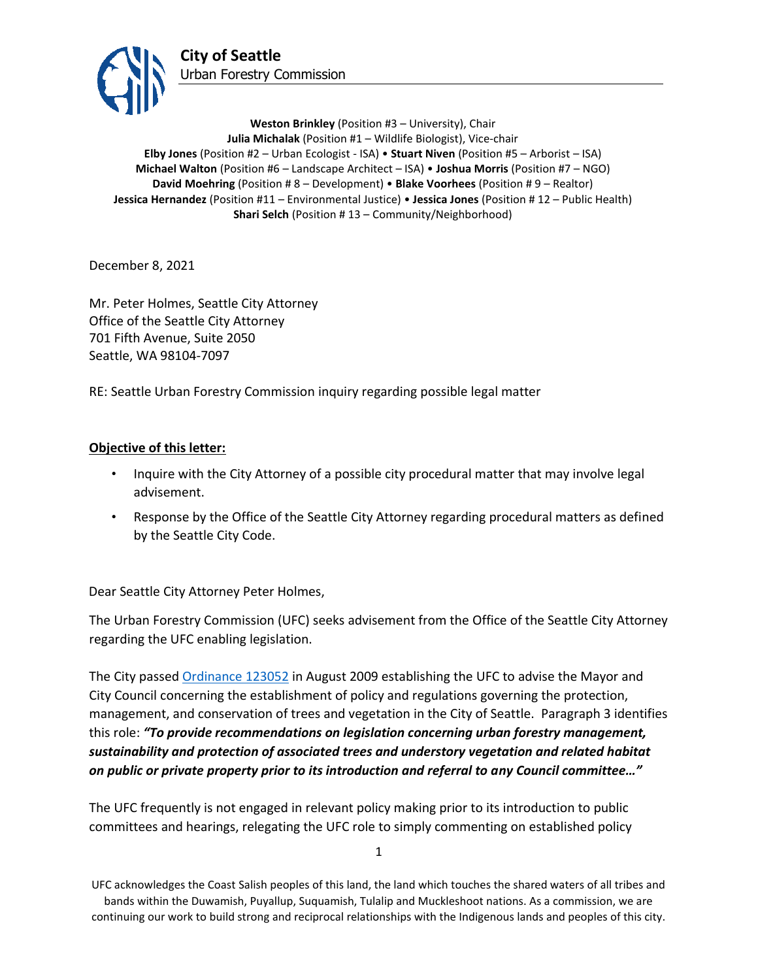

**Weston Brinkley** (Position #3 – University), Chair **Julia Michalak** (Position #1 – Wildlife Biologist), Vice-chair **Elby Jones** (Position #2 – Urban Ecologist - ISA) • **Stuart Niven** (Position #5 – Arborist – ISA) **Michael Walton** (Position #6 – Landscape Architect – ISA) • **Joshua Morris** (Position #7 – NGO) **David Moehring** (Position # 8 – Development) • **Blake Voorhees** (Position # 9 – Realtor) **Jessica Hernandez** (Position #11 – Environmental Justice) • **Jessica Jones** (Position # 12 – Public Health) **Shari Selch** (Position #13 – Community/Neighborhood)

December 8, 2021

Mr. Peter Holmes, Seattle City Attorney Office of the Seattle City Attorney 701 Fifth Avenue, Suite 2050 Seattle, WA 98104-7097

RE: Seattle Urban Forestry Commission inquiry regarding possible legal matter

## **Objective of this letter:**

- Inquire with the City Attorney of a possible city procedural matter that may involve legal advisement.
- Response by the Office of the Seattle City Attorney regarding procedural matters as defined by the Seattle City Code.

Dear Seattle City Attorney Peter Holmes,

The Urban Forestry Commission (UFC) seeks advisement from the Office of the Seattle City Attorney regarding the UFC enabling legislation.

The City passed [Ordinance 123052](http://clerk.seattle.gov/search/council-bills/116577#:~:text=3.%20To%20provide%20recommendations%20on%20legislation%20concerning%20urban%20forestry%20management%2C%20sustainability%20and%20protection%20of%20associated%20trees%20and%20understory%20vegetation%20and%20related%20habitat%20on%20public%20or%20private%20property%20prior%20to%20its%20introduction%20and%20referral%20to%20any%20Council%20committee%3B) in August 2009 establishing the UFC to advise the Mayor and City Council concerning the establishment of policy and regulations governing the protection, management, and conservation of trees and vegetation in the City of Seattle. Paragraph 3 identifies this role: *"To provide recommendations on legislation concerning urban forestry management, sustainability and protection of associated trees and understory vegetation and related habitat on public or private property prior to its introduction and referral to any Council committee…"*

The UFC frequently is not engaged in relevant policy making prior to its introduction to public committees and hearings, relegating the UFC role to simply commenting on established policy

UFC acknowledges the Coast Salish peoples of this land, the land which touches the shared waters of all tribes and bands within the Duwamish, Puyallup, Suquamish, Tulalip and Muckleshoot nations. As a commission, we are continuing our work to build strong and reciprocal relationships with the Indigenous lands and peoples of this city.

<sup>1</sup>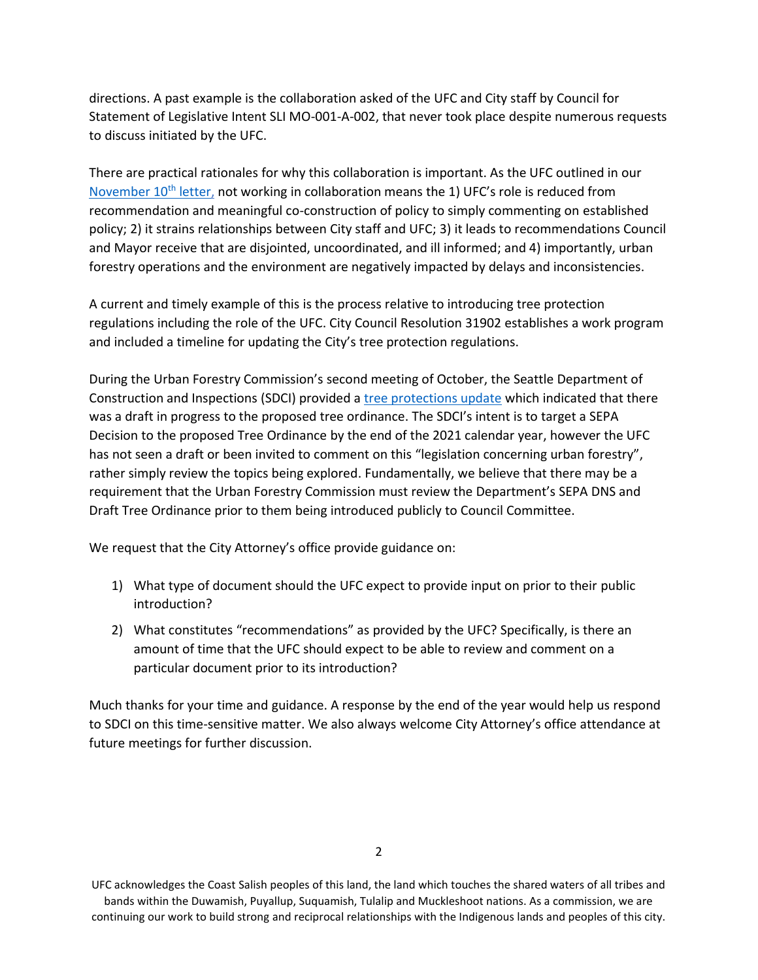directions. A past example is the collaboration asked of the UFC and City staff by Council for Statement of Legislative Intent SLI MO-001-A-002, that never took place despite numerous requests to discuss initiated by the UFC.

There are practical rationales for why this collaboration is important. As the UFC outlined in our [November 10](https://www.seattle.gov/Documents/Departments/UrbanForestryCommission/2021/2021docs/ADOPTEDSLILetter111021.pdf)th letter, not working in collaboration means the 1) UFC's role is reduced from recommendation and meaningful co-construction of policy to simply commenting on established policy; 2) it strains relationships between City staff and UFC; 3) it leads to recommendations Council and Mayor receive that are disjointed, uncoordinated, and ill informed; and 4) importantly, urban forestry operations and the environment are negatively impacted by delays and inconsistencies.

A current and timely example of this is the process relative to introducing tree protection regulations including the role of the UFC. City Council Resolution 31902 establishes a work program and included a timeline for updating the City's tree protection regulations.

During the Urban Forestry Commission's second meeting of October, the Seattle Department of Construction and Inspections (SDCI) provided a [tree protections update](https://www.seattle.gov/Documents/Departments/UrbanForestryCommission/2021/2021docs/TreeProtectionsUpdate101321.pdf) which indicated that there was a draft in progress to the proposed tree ordinance. The SDCI's intent is to target a SEPA Decision to the proposed Tree Ordinance by the end of the 2021 calendar year, however the UFC has not seen a draft or been invited to comment on this "legislation concerning urban forestry", rather simply review the topics being explored. Fundamentally, we believe that there may be a requirement that the Urban Forestry Commission must review the Department's SEPA DNS and Draft Tree Ordinance prior to them being introduced publicly to Council Committee.

We request that the City Attorney's office provide guidance on:

- 1) What type of document should the UFC expect to provide input on prior to their public introduction?
- 2) What constitutes "recommendations" as provided by the UFC? Specifically, is there an amount of time that the UFC should expect to be able to review and comment on a particular document prior to its introduction?

Much thanks for your time and guidance. A response by the end of the year would help us respond to SDCI on this time-sensitive matter. We also always welcome City Attorney's office attendance at future meetings for further discussion.

UFC acknowledges the Coast Salish peoples of this land, the land which touches the shared waters of all tribes and bands within the Duwamish, Puyallup, Suquamish, Tulalip and Muckleshoot nations. As a commission, we are continuing our work to build strong and reciprocal relationships with the Indigenous lands and peoples of this city.